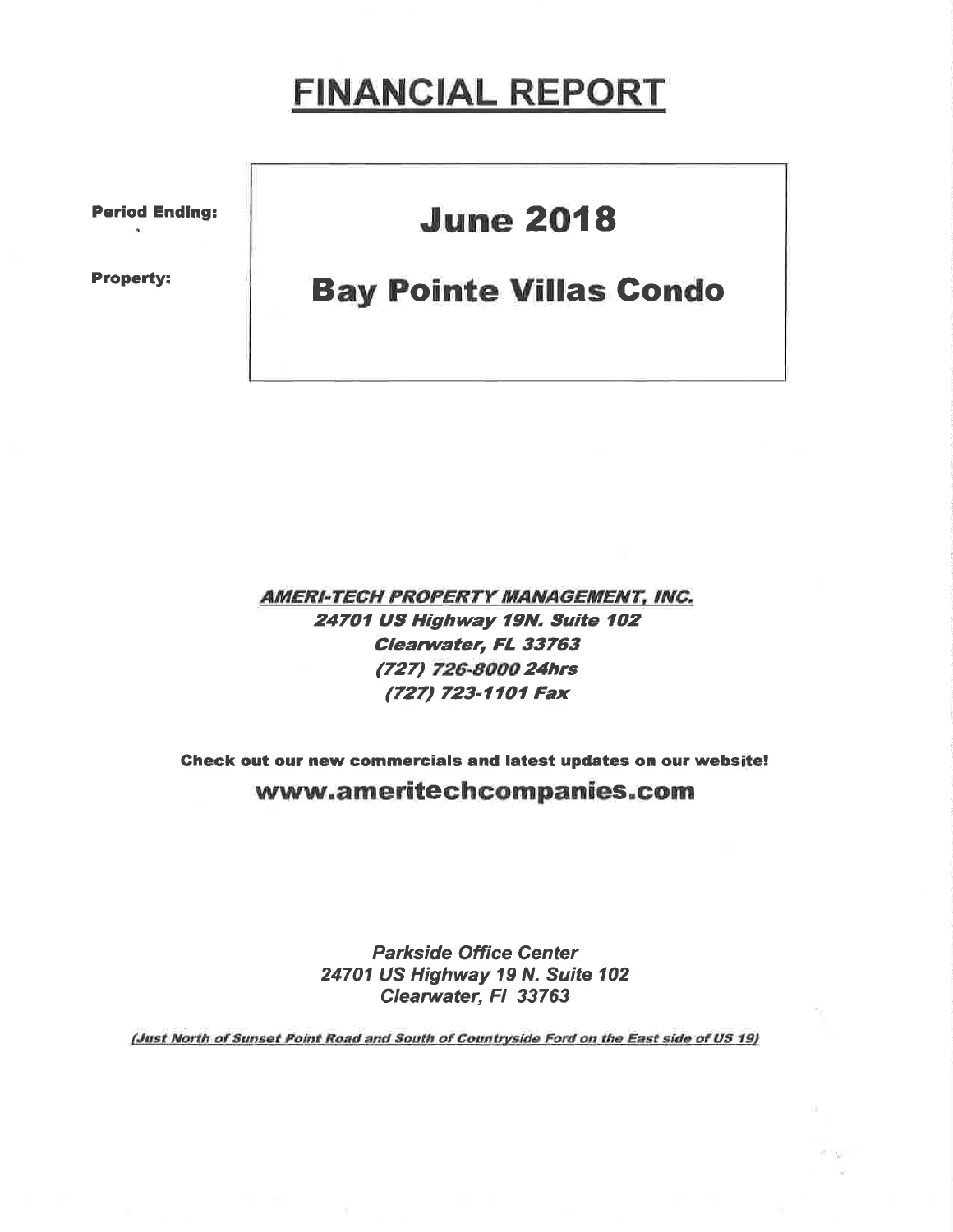## **FINANCIAL REPORT**

**Period Ending:** 

**Property:** 

## **June 2018**

## **Bay Pointe Villas Condo**

**AMERI-TECH PROPERTY MANAGEMENT, INC.** 24701 US Highway 19N. Suite 102 Clearwater, FL 33763 (727) 726-8000 24hrs (727) 723-1101 Fax

Check out our new commercials and latest updates on our website! www.ameritechcompanies.com

> **Parkside Office Center** 24701 US Highway 19 N. Suite 102 Clearwater, FI 33763

(Just North of Sunset Point Road and South of Countryside Ford on the East side of US 19)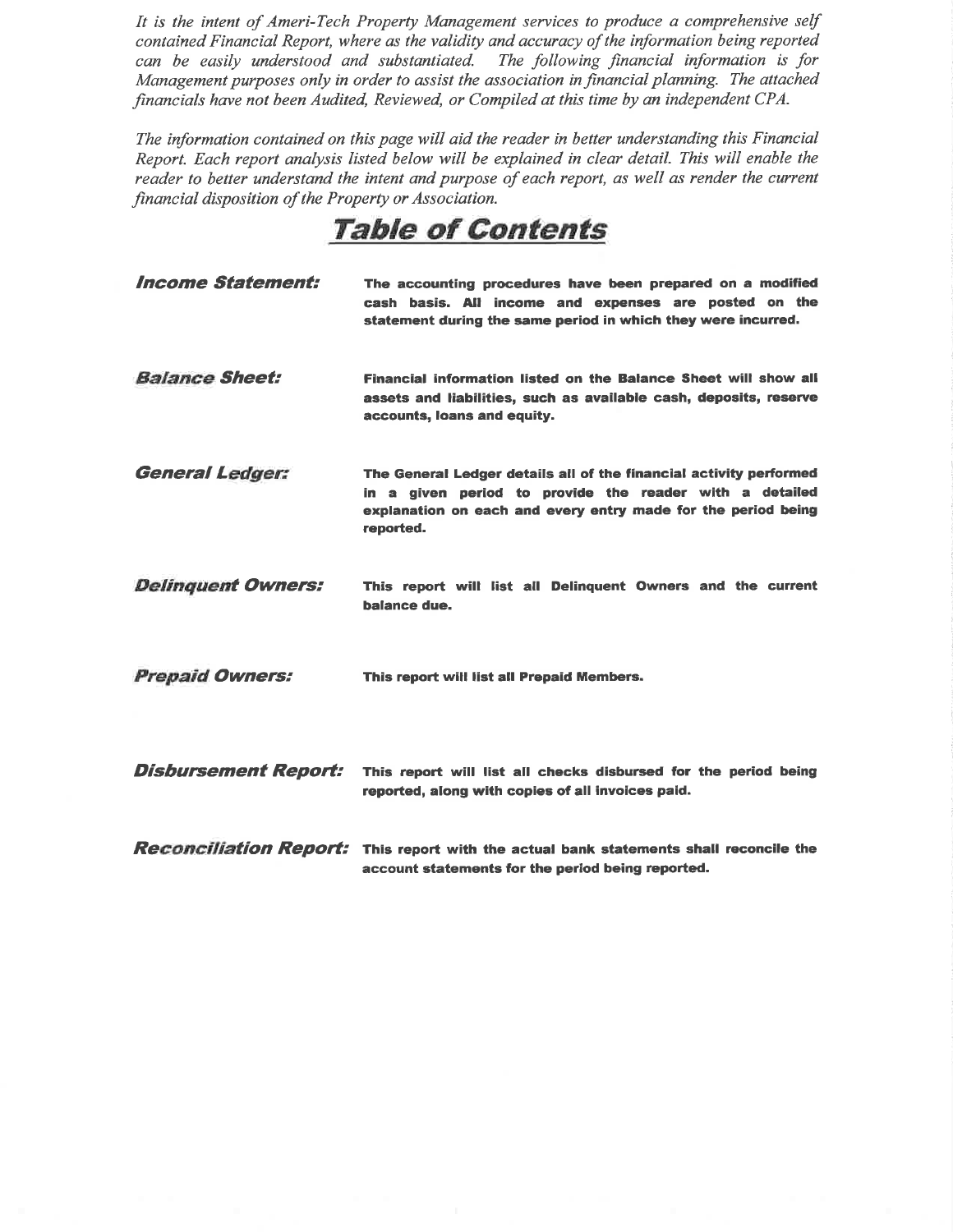It ís the intent of Ameri-Tech Property Management servíces to produce a comprehensive self conlained Financial Report, where as the validity and accuracy of the information being reported can be easily understood and substantiated. The following financial information is for Management purposes only in order to assist the association in financial planning. The attached financials have not been Audited, Reviewed, or Compiled at this time by an independent CPA.

The information contained on this page will aid the reader in better understanding this Financial Report. Each report analysis listed below will be explained in clear detail. Thís wíll enable the reader to better understand the intent and purpose of each report, as well as render the current financial disposítion of the Property or Association.

Table of Contents

| <i><b>Income Statement:</b></i> | The accounting procedures have been prepared on a modified<br>cash basis. All income and expenses are posted on the<br>statement during the same period in which they were incurred.                        |
|---------------------------------|-------------------------------------------------------------------------------------------------------------------------------------------------------------------------------------------------------------|
| <b>Balance Sheet:</b>           | Financial information listed on the Balance Sheet will show all<br>assets and liabilities, such as available cash, deposits, reserve<br>accounts, loans and equity.                                         |
| <b>General Ledger:</b>          | The General Ledger details all of the financial activity performed<br>in a given period to provide the reader with a detailed<br>explanation on each and every entry made for the period being<br>reported. |
| <b>Delinquent Owners:</b>       | This report will list all Delinguent Owners and the current<br>balance due.                                                                                                                                 |
| <b>Prepaid Owners:</b>          | This report will list all Prepaid Members.                                                                                                                                                                  |
| <b>Disbursement Report:</b>     | This report will list all checks disbursed for the period being<br>reported, along with copies of all invoices paid.                                                                                        |
|                                 | <b>Reconciliation Report:</b> This report with the actual bank statements shall reconcile the<br>account statements for the period being reported.                                                          |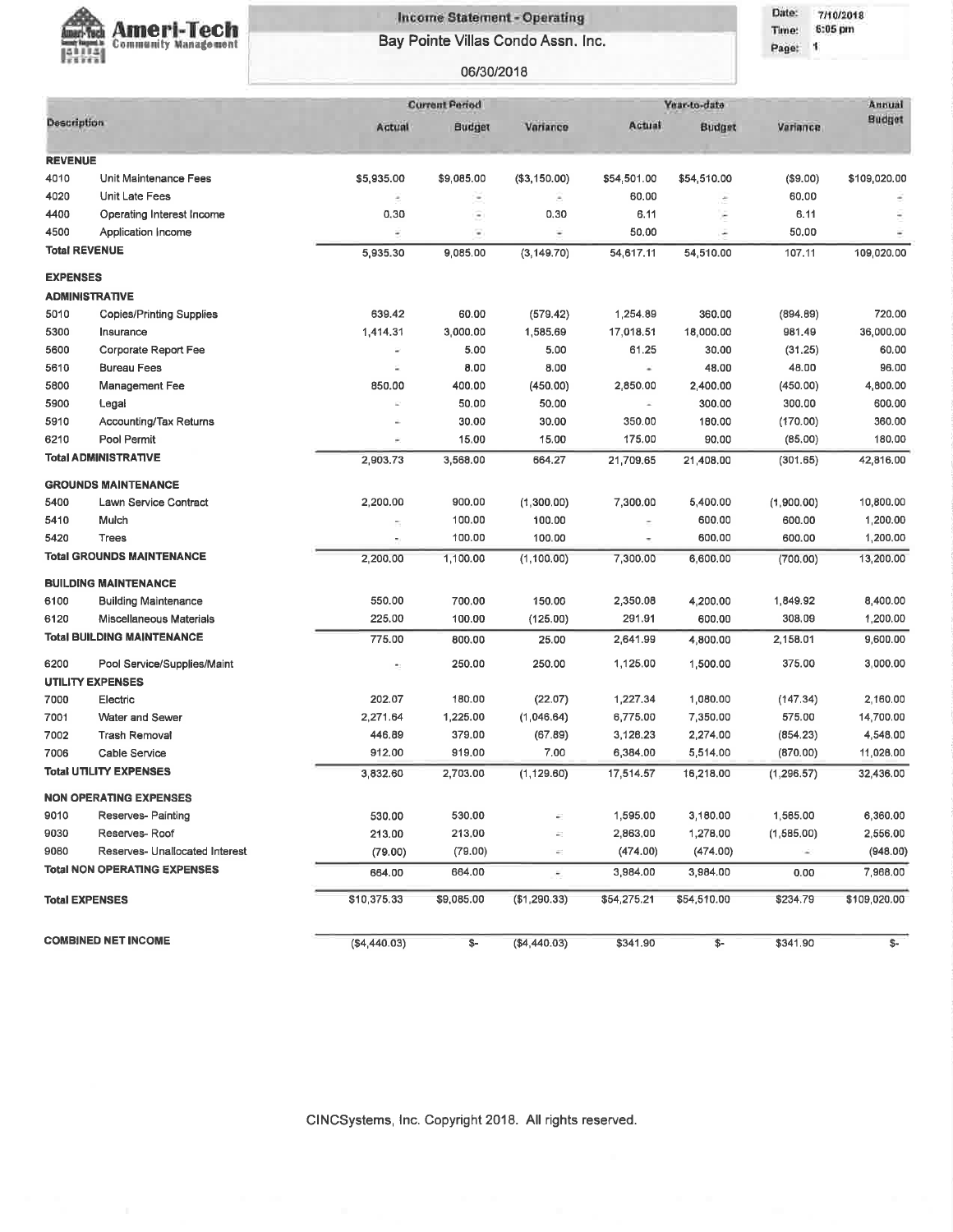

## **Income Statement - Operating** Bay Pointe Villas Condo Assn. Inc.

06/30/2018

Date: 7/10/2018 Time: 6:05 pm

Page: 1

|                       |                                                        |                | <b>Current Period</b><br>Year-to-date |                          |                       |             |             | Annual        |  |  |
|-----------------------|--------------------------------------------------------|----------------|---------------------------------------|--------------------------|-----------------------|-------------|-------------|---------------|--|--|
| <b>Description</b>    |                                                        | Actual         | Budget                                | Variance                 | Actual                | Budget      | Variance    | <b>Budget</b> |  |  |
|                       |                                                        |                |                                       |                          |                       |             |             |               |  |  |
| <b>REVENUE</b>        |                                                        | \$5,935.00     |                                       |                          |                       |             |             |               |  |  |
| 4010                  | Unit Maintenance Fees                                  |                | \$9,085.00                            | (\$3,150.00)             | \$54,501.00           | \$54,510.00 | (\$9.00)    | \$109,020.00  |  |  |
| 4020                  | Unit Late Fees                                         | ÷              | $\overline{\phantom{a}}$              | $\overline{\phantom{a}}$ | 60.00                 | ċ           | 60,00       |               |  |  |
| 4400                  | Operating Interest Income                              | 0, 30          | Ξ                                     | 0.30                     | 6.11                  | ċ           | 6.11        |               |  |  |
| 4500                  | Application Income                                     | ë              | ν                                     | ¥                        | 50.00                 |             | 50.00       |               |  |  |
| <b>Total REVENUE</b>  |                                                        | 5,935.30       | 9.085.00                              | (3, 149.70)              | 54,617.11             | 54,510.00   | 107.11      | 109,020.00    |  |  |
| <b>EXPENSES</b>       |                                                        |                |                                       |                          |                       |             |             |               |  |  |
|                       | <b>ADMINISTRATIVE</b>                                  |                |                                       |                          |                       |             |             |               |  |  |
| 5010                  | <b>Copies/Printing Supplies</b>                        | 639.42         | 60.00                                 | (579.42)                 | 1,254.89              | 360.00      | (894.69)    | 720,00        |  |  |
| 5300                  | Insurance                                              | 1,414.31       | 3,000.00                              | 1,585.69                 | 17,018.51             | 18,000.00   | 981,49      | 36,000.00     |  |  |
| 5600                  | <b>Corporate Report Fee</b>                            | ٠              | 5.00                                  | 5.00                     | 61.25                 | 30.00       | (31.25)     | 60.00         |  |  |
| 5610                  | <b>Bureau Fees</b>                                     | ε              | 0.00                                  | 8.00                     | $\omega$              | 48.00       | 48.00       | 96.00         |  |  |
| 5800                  | Management Fee                                         | 850.00         | 400.00                                | (450.00)                 | 2,850.00              | 2,400.00    | (450.00)    | 4,800.00      |  |  |
| 5900                  | Legal                                                  |                | 50.00                                 | 50.00                    | $\alpha$              | 300.00      | 300.00      | 600.00        |  |  |
| 5910                  | <b>Accounting/Tax Returns</b>                          |                | 30.00                                 | 30.00                    | 350.00                | 180.00      | (170.00)    | 360.00        |  |  |
| 6210                  | Pool Permit                                            | ÷.             | 15.00                                 | 15.00                    | 175.00                | 90.00       | (85.00)     | 180,00        |  |  |
|                       | <b>Total ADMINISTRATIVE</b>                            | 2,903.73       | 3,568.00                              | 664.27                   | 21,709.65             | 21,408.00   | (301.65)    | 42,816,00     |  |  |
|                       | <b>GROUNDS MAINTENANCE</b>                             |                |                                       |                          |                       |             |             |               |  |  |
| 5400                  | Lawn Service Contract                                  | 2,200.00       | 900.00                                | (1,300.00)               | 7,300.00              | 5,400.00    | (1,900.00)  | 10,800.00     |  |  |
| 5410                  | Mulch                                                  | $\blacksquare$ | 100.00                                | 100.00                   | $\tilde{\phantom{a}}$ | 600.00      | 600.00      | 1,200.00      |  |  |
| 5420                  | <b>Trees</b>                                           |                | 100.00                                | 100.00                   |                       | 600.00      | 600.00      | 1,200.00      |  |  |
|                       | <b>Total GROUNDS MAINTENANCE</b>                       | 2,200.00       | 1,100.00                              | (1, 100.00)              | 7,300.00              | 6,600.00    | (700.00)    | 13,200.00     |  |  |
|                       | <b>BUILDING MAINTENANCE</b>                            |                |                                       |                          |                       |             |             |               |  |  |
| 6100                  | <b>Building Maintenance</b>                            | 550.00         | 700.00                                | 150.00                   | 2,350.08              | 4,200.00    | 1,849.92    | 8,400.00      |  |  |
| 6120                  | Miscellaneous Materials                                | 225.00         | 100.00                                | (125.00)                 | 291.91                | 600.00      | 308.09      | 1,200.00      |  |  |
|                       | <b>Total BUILDING MAINTENANCE</b>                      | 775.00         | 800.00                                | 25.00                    | 2,641.99              | 4,800.00    | 2,158.01    | 9,600.00      |  |  |
| 6200                  |                                                        |                |                                       |                          |                       |             |             |               |  |  |
|                       | Pool Service/Supplies/Maint<br><b>UTILITY EXPENSES</b> | ŧ.             | 250.00                                | 250.00                   | 1,125.00              | 1,500.00    | 375.00      | 3,000.00      |  |  |
| 7000                  | Electric                                               | 202.07         | 180.00                                | (22.07)                  | 1,227.34              | 1,080.00    | (147.34)    | 2,160.00      |  |  |
| 7001                  | Water and Sewer                                        | 2,271.64       | 1,225.00                              | (1,046.64)               | 6,775.00              | 7,350.00    | 575.00      | 14,700.00     |  |  |
| 7002                  | <b>Trash Removal</b>                                   | 446.89         | 379.00                                | (67.89)                  | 3,126.23              | 2,274.00    | (854.23)    | 4,548.00      |  |  |
| 7006                  | <b>Cable Service</b>                                   | 912,00         | 919,00                                | 7.00                     | 6,384.00              | 5,514.00    | (870.00)    | 11,028.00     |  |  |
|                       | <b>Total UTILITY EXPENSES</b>                          | 3,832.60       | 2,703.00                              | (1, 129.60)              | 17,514.57             | 16,218.00   | (1, 296.57) | 32,436.00     |  |  |
|                       |                                                        |                |                                       |                          |                       |             |             |               |  |  |
|                       | <b>NON OPERATING EXPENSES</b>                          |                |                                       |                          |                       |             |             |               |  |  |
| 9010                  | Reserves- Painting                                     | 530.00         | 530.00                                |                          | 1,595.00              | 3,180.00    | 1,565.00    | 6,360.00      |  |  |
| 9030                  | Reserves-Roof                                          | 213.00         | 213.00                                |                          | 2,863.00              | 1,278.00    | (1,585.00)  | 2,556.00      |  |  |
| 9080                  | Reserves- Unallocated Interest                         | (79.00)        | (79.00)                               | ÷.                       | (474.00)              | (474.00)    | $\Delta$    | (948.00)      |  |  |
|                       | <b>Total NON OPERATING EXPENSES</b>                    | 664.00         | 664.00                                | ÷                        | 3,984.00              | 3,984.00    | 0.00        | 7,968.00      |  |  |
| <b>Total EXPENSES</b> |                                                        | \$10,375.33    | \$9,085.00                            | (\$1,290.33)             | \$54,275.21           | \$54,510.00 | \$234.79    | \$109,020.00  |  |  |
|                       | <b>COMBINED NET INCOME</b>                             | ( \$4,440.03)  | \$-                                   | (\$4,440.03)             | \$341.90              | \$-         | \$341.90    | \$-           |  |  |

CINCSystems, Inc. Copyright 2018. All rights reserved.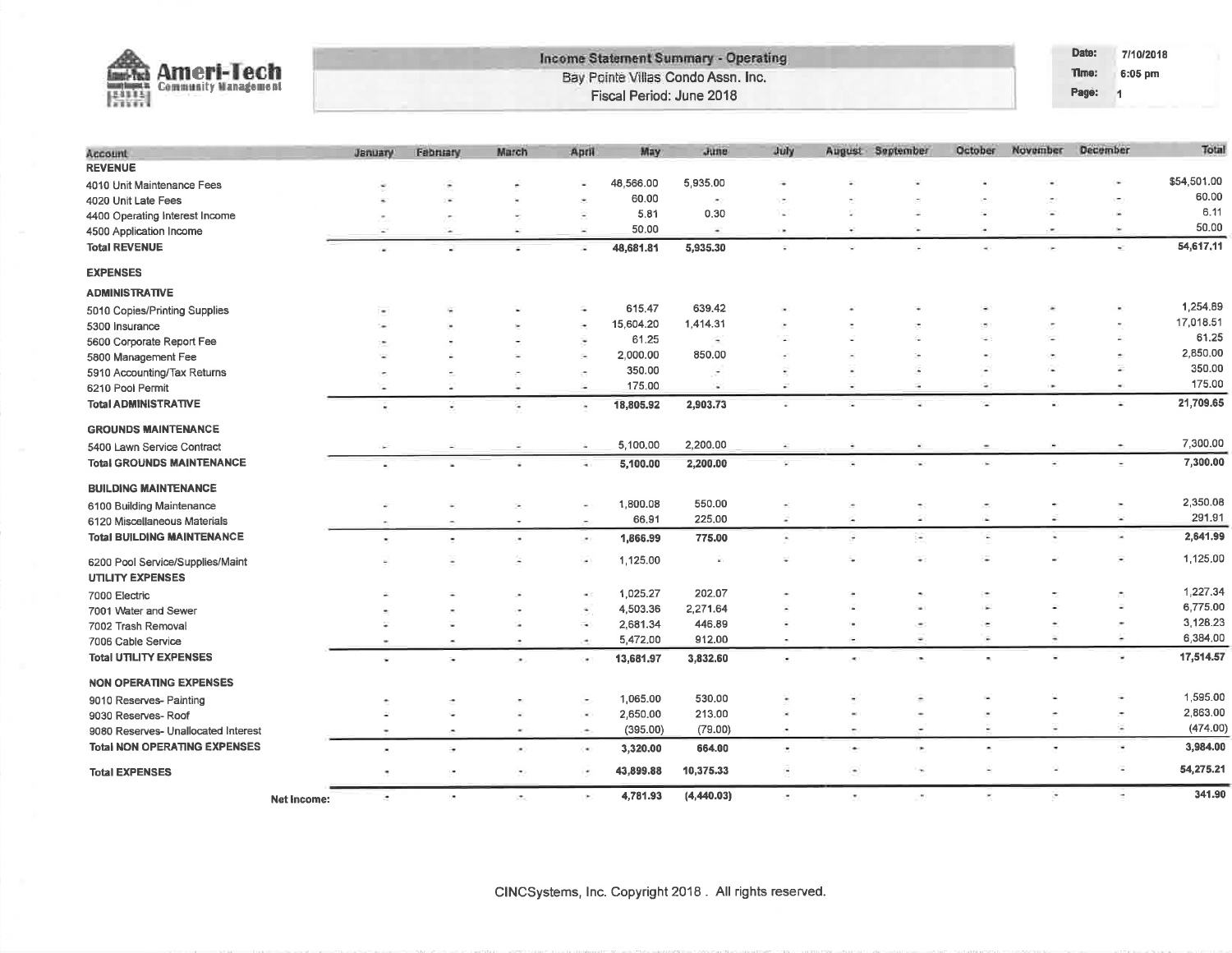| <b>Ameri-Tech</b><br>Imeri-Tech<br>融融<br><b>Community Management</b> |                    |                    |                          |                       |                          | Fiscal Period: June 2018 | <b>Income Statement Summary - Operating</b><br>Bay Pointe Villas Condo Assn. Inc. |                          |    |                          |                          |                          | Date:<br>Time:<br>Page: | 7/10/2018<br>6:05 pm<br>$\mathbf{1}$ |
|----------------------------------------------------------------------|--------------------|--------------------|--------------------------|-----------------------|--------------------------|--------------------------|-----------------------------------------------------------------------------------|--------------------------|----|--------------------------|--------------------------|--------------------------|-------------------------|--------------------------------------|
|                                                                      |                    |                    |                          |                       |                          |                          |                                                                                   |                          |    |                          |                          |                          |                         |                                      |
| Account                                                              |                    | January            | <b>Fabruary</b>          | March                 | April                    | May.                     | June                                                                              | July                     |    | August September         | October                  | November                 | December                | Total                                |
| <b>REVENUE</b>                                                       |                    |                    |                          |                       |                          |                          |                                                                                   |                          |    |                          |                          |                          |                         |                                      |
| 4010 Unit Maintenance Fees                                           |                    |                    |                          |                       |                          | 48,566.00                | 5,935.00                                                                          |                          |    |                          |                          |                          |                         | \$54,501.00                          |
| 4020 Unit Late Fees                                                  |                    |                    |                          |                       |                          | 60.00                    | ×                                                                                 |                          |    |                          |                          |                          |                         | 60.00                                |
| 4400 Operating Interest Income                                       |                    |                    |                          |                       | Ξ                        | 5.81                     | 0.30                                                                              |                          |    |                          |                          |                          |                         | 6.11                                 |
| 4500 Application Income                                              |                    |                    | ٠                        | ¥                     | ¥                        | 50.00                    | ٠                                                                                 | i.                       |    | $\overline{\phantom{a}}$ | <b>Color</b>             | ۰                        |                         | 50.00                                |
| <b>Total REVENUE</b>                                                 |                    | r al               |                          |                       |                          | 48,681.81                | 5,935.30                                                                          | $\overline{\phantom{a}}$ | ÷. | ¥                        |                          | ×                        |                         | 54,617.11<br>÷.                      |
| <b>EXPENSES</b>                                                      |                    |                    |                          |                       |                          |                          |                                                                                   |                          |    |                          |                          |                          |                         |                                      |
| <b>ADMINISTRATIVE</b>                                                |                    |                    |                          |                       |                          |                          |                                                                                   |                          |    |                          |                          |                          |                         |                                      |
| 5010 Copies/Printing Supplies                                        |                    |                    |                          |                       |                          | 615.47                   | 639.42                                                                            |                          |    |                          |                          |                          |                         | 1,254.89                             |
| 5300 Insurance                                                       |                    |                    |                          |                       |                          | 15,604.20                | 1,414.31                                                                          |                          |    |                          |                          |                          |                         | 17,018.51                            |
| 5600 Corporate Report Fee                                            |                    |                    |                          |                       |                          | 61.25                    | ٠                                                                                 |                          |    |                          |                          |                          |                         | 61.25                                |
| 5800 Management Fee                                                  |                    |                    |                          |                       | G.                       | 2,000.00                 | 850.00                                                                            |                          |    |                          |                          |                          |                         | 2,850.00<br>2                        |
| 5910 Accounting/Tax Returns                                          |                    |                    |                          |                       |                          | 350.00                   |                                                                                   |                          |    |                          |                          |                          |                         | 350.00<br>175.00<br>٠                |
| 6210 Pool Permit                                                     |                    |                    |                          | $\equiv$              | <b>Color</b>             | 175.00                   | ×                                                                                 | $\overline{\phantom{a}}$ |    |                          | ٠                        |                          |                         |                                      |
| <b>Total ADMINISTRATIVE</b>                                          |                    | ٠                  | G,                       | G                     | ×.                       | 18,805.92                | 2,903.73                                                                          |                          |    |                          |                          |                          |                         | 21,709.65<br>¥                       |
| <b>GROUNDS MAINTENANCE</b>                                           |                    |                    |                          |                       |                          |                          |                                                                                   |                          |    |                          |                          |                          |                         |                                      |
| 5400 Lawn Service Contract                                           |                    |                    |                          |                       | ÷.                       | 5,100.00                 | 2,200.00                                                                          |                          |    |                          |                          |                          |                         | 7,300.00                             |
| <b>Total GROUNDS MAINTENANCE</b>                                     |                    |                    |                          | ¥                     | $\overline{\phantom{a}}$ | 5,100.00                 | 2,200.00                                                                          |                          |    |                          | ×                        |                          |                         | 7,300.00                             |
| <b>BUILDING MAINTENANCE</b>                                          |                    |                    |                          |                       |                          |                          |                                                                                   |                          |    |                          |                          |                          |                         |                                      |
| 6100 Building Maintenance                                            |                    |                    |                          |                       |                          | 1,800.08                 | 550.00                                                                            |                          |    |                          |                          |                          |                         | 2,350.08<br>×                        |
| 6120 Miscellaneous Materials                                         |                    |                    |                          |                       |                          | 66.91                    | 225.00                                                                            | $\ddot{}$                | ÷  | $\sim$                   | i de                     | ×,                       |                         | 291.91<br>×                          |
| <b>Total BUILDING MAINTENANCE</b>                                    |                    |                    | $\overline{\phantom{a}}$ | ×,                    | or i                     | 1,866.99                 | 775.00                                                                            | $\ddot{}$                | ×  | $\overline{\phantom{a}}$ | ×,                       | ٠                        |                         | 2,641.99<br>×                        |
| 6200 Pool Service/Supplies/Maint                                     |                    |                    |                          |                       | $\overline{\phantom{a}}$ | 1,125.00                 | ×,                                                                                |                          |    |                          | ٠                        |                          |                         | 1,125.00<br>٠                        |
| <b>UTILITY EXPENSES</b>                                              |                    |                    |                          |                       |                          |                          |                                                                                   |                          |    |                          |                          |                          |                         |                                      |
| 7000 Electric                                                        |                    |                    |                          |                       | $\bullet$ )              | 1,025.27                 | 202.07                                                                            |                          |    |                          |                          |                          |                         | 1,227.34                             |
| 7001 Water and Sewer                                                 |                    |                    |                          |                       | $\ddot{\phantom{0}}$     | 4,503.36                 | 2,271.64                                                                          |                          |    |                          |                          |                          |                         | 6,775.00<br>Ξ                        |
| 7002 Trash Removal                                                   |                    |                    |                          |                       | $\overline{\phantom{a}}$ | 2,681.34                 | 446.89                                                                            |                          |    |                          |                          |                          |                         | 3,128.23<br>٠                        |
| 7006 Cable Service                                                   |                    |                    | $\tilde{\phantom{a}}$    | ×.                    | с.                       | 5,472.00                 | 912.00                                                                            | $\blacksquare$           | ٠  |                          | ×                        | ٠                        |                         | 6,384.00<br>s                        |
| <b>Total UTILITY EXPENSES</b>                                        |                    | $\hat{\mathbf{w}}$ | ¥                        | $\sim$                | œ.                       | 13,681.97                | 3,832.60                                                                          | $\sigma$                 | ×. | ×,                       |                          | $\overline{\phantom{a}}$ |                         | 17,514.57<br>÷                       |
| <b>NON OPERATING EXPENSES</b>                                        |                    |                    |                          |                       |                          |                          |                                                                                   |                          |    |                          |                          |                          |                         |                                      |
| 9010 Reserves- Painting                                              |                    |                    |                          |                       |                          | 1,065.00                 | 530.00                                                                            |                          |    |                          |                          |                          |                         | 1,595.00                             |
| 9030 Reserves-Roof                                                   |                    |                    |                          |                       | ×,                       | 2,650.00                 | 213.00                                                                            |                          |    |                          |                          |                          |                         | 2,863.00                             |
| 9080 Reserves- Unallocated Interest                                  |                    |                    | ×                        |                       | ۰                        | (395.00)                 | (79.00)                                                                           | $\sim$                   |    |                          |                          |                          |                         | (474.00)<br>т                        |
| <b>Total NON OPERATING EXPENSES</b>                                  |                    |                    | ÷,                       | $\blacksquare$        | Ō.                       | 3,320.00                 | 664.00                                                                            | $\bullet$                | ٠  |                          |                          | ×                        |                         | 3,984.00<br>۰.                       |
| <b>Total EXPENSES</b>                                                |                    | ٠                  | Ō.                       | $\tilde{\phantom{a}}$ | ٠                        | 43,899.88                | 10,375.33                                                                         | $\alpha$                 | ٠  | ٠                        |                          | ¥                        |                         | 54,275.21<br>÷.                      |
|                                                                      | <b>Net Income:</b> | ×                  | D.                       | $\sim$                | $\mathbf{p}_i$           | 4,781.93                 | (4,440.03)                                                                        | gen.                     | J. | in i                     | $\overline{\phantom{a}}$ | ×                        |                         | 341.90<br>٠                          |
|                                                                      |                    |                    |                          |                       |                          |                          |                                                                                   |                          |    |                          |                          |                          |                         |                                      |